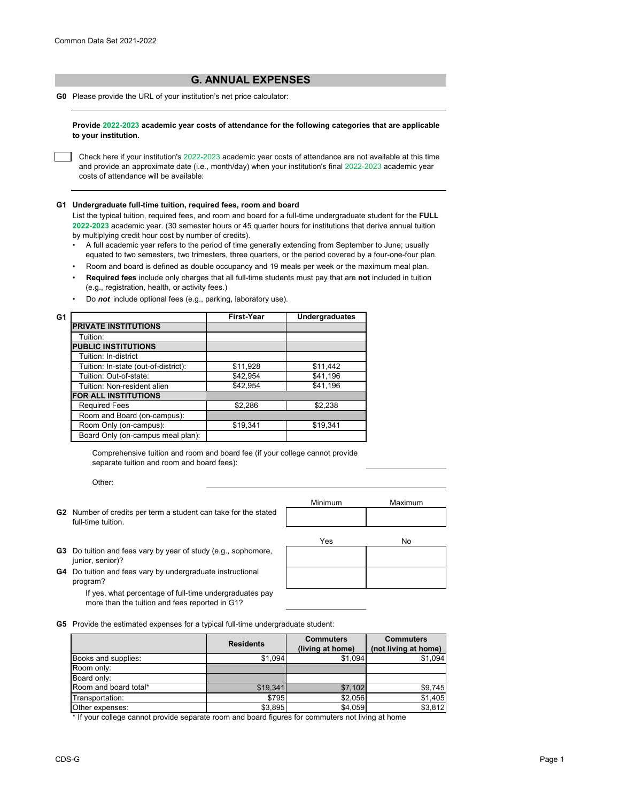## **G. ANNUAL EXPENSES**

**G0** Please provide the URL of your institution's net price calculator:

**Provide 2022-2023 academic year costs of attendance for the following categories that are applicable to your institution.**

Check here if your institution's 2022-2023 academic year costs of attendance are not available at this time and provide an approximate date (i.e., month/day) when your institution's final 2022-2023 academic year costs of attendance will be available:

## **G1 Undergraduate full-time tuition, required fees, room and board**

List the typical tuition, required fees, and room and board for a full-time undergraduate student for the **FULL 2022-2023** academic year. (30 semester hours or 45 quarter hours for institutions that derive annual tuition by multiplying credit hour cost by number of credits).

- •A full academic year refers to the period of time generally extending from September to June; usually equated to two semesters, two trimesters, three quarters, or the period covered by a four-one-four plan.
- Room and board is defined as double occupancy and 19 meals per week or the maximum meal plan.
- • **Required fees** include only charges that all full-time students must pay that are **not** included in tuition (e.g., registration, health, or activity fees.)
- Do *not* include optional fees (e.g., parking, laboratory use).

| G1                                   | <b>First-Year</b> | <b>Undergraduates</b> |
|--------------------------------------|-------------------|-----------------------|
| <b>PRIVATE INSTITUTIONS</b>          |                   |                       |
| Tuition:                             |                   |                       |
| <b>PUBLIC INSTITUTIONS</b>           |                   |                       |
| Tuition: In-district                 |                   |                       |
| Tuition: In-state (out-of-district): | \$11,928          | \$11,442              |
| Tuition: Out-of-state:               | \$42,954          | \$41,196              |
| Tuition: Non-resident alien          | \$42,954          | \$41,196              |
| <b>FOR ALL INSTITUTIONS</b>          |                   |                       |
| <b>Required Fees</b>                 | \$2,286           | \$2,238               |
| Room and Board (on-campus):          |                   |                       |
| Room Only (on-campus):               | \$19,341          | \$19,341              |
| Board Only (on-campus meal plan):    |                   |                       |

Comprehensive tuition and room and board fee (if your college cannot provide separate tuition and room and board fees):

Other:

**G2** Number of credits per term a student can take for the stated full-time tuition.

| Minimum | Maximum |  |  |
|---------|---------|--|--|
|         |         |  |  |
|         |         |  |  |
|         |         |  |  |
| Yes     | No      |  |  |
|         |         |  |  |

- **G3** Do tuition and fees vary by year of study (e.g., sophomore, junior, senior)?
- **G4** Do tuition and fees vary by undergraduate instructional program?

If yes, what percentage of full-time undergraduates pay more than the tuition and fees reported in G1?

**G5** Provide the estimated expenses for a typical full-time undergraduate student:

|                       | <b>Residents</b> | <b>Commuters</b> | <b>Commuters</b>     |
|-----------------------|------------------|------------------|----------------------|
|                       |                  | (living at home) | (not living at home) |
| Books and supplies:   | \$1,094          | \$1,094          | \$1,094              |
| Room only:            |                  |                  |                      |
| Board only:           |                  |                  |                      |
| Room and board total* | \$19,341         | \$7,102          | \$9,745              |
| Transportation:       | \$795            | \$2,056          | \$1,405              |
| Other expenses:       | \$3,895          | \$4,059          | \$3,812              |

\* If your college cannot provide separate room and board figures for commuters not living at home